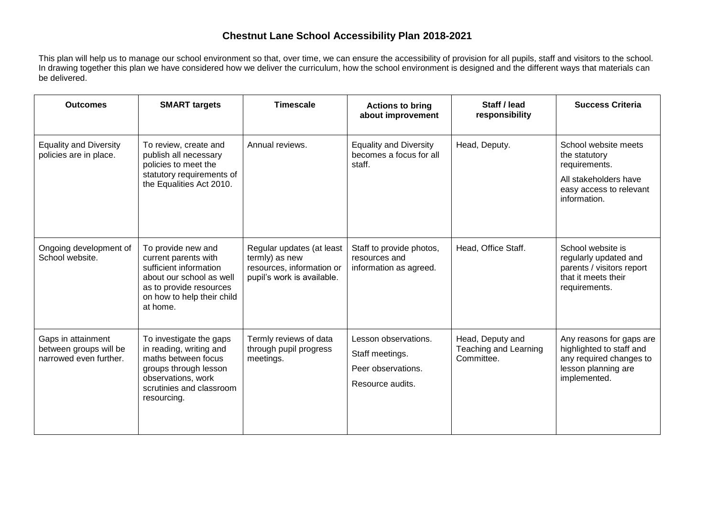## **Chestnut Lane School Accessibility Plan 2018-2021**

This plan will help us to manage our school environment so that, over time, we can ensure the accessibility of provision for all pupils, staff and visitors to the school. In drawing together this plan we have considered how we deliver the curriculum, how the school environment is designed and the different ways that materials can be delivered.

| <b>Outcomes</b>                                                        | <b>SMART targets</b>                                                                                                                                                  | <b>Timescale</b>                                                                                       | <b>Actions to bring</b><br>about improvement                                      | Staff / lead<br>responsibility                                 | <b>Success Criteria</b>                                                                                                    |
|------------------------------------------------------------------------|-----------------------------------------------------------------------------------------------------------------------------------------------------------------------|--------------------------------------------------------------------------------------------------------|-----------------------------------------------------------------------------------|----------------------------------------------------------------|----------------------------------------------------------------------------------------------------------------------------|
| <b>Equality and Diversity</b><br>policies are in place.                | To review, create and<br>publish all necessary<br>policies to meet the<br>statutory requirements of<br>the Equalities Act 2010.                                       | Annual reviews.                                                                                        | <b>Equality and Diversity</b><br>becomes a focus for all<br>staff.                | Head, Deputy.                                                  | School website meets<br>the statutory<br>requirements.<br>All stakeholders have<br>easy access to relevant<br>information. |
| Ongoing development of<br>School website.                              | To provide new and<br>current parents with<br>sufficient information<br>about our school as well<br>as to provide resources<br>on how to help their child<br>at home. | Regular updates (at least<br>termly) as new<br>resources, information or<br>pupil's work is available. | Staff to provide photos,<br>resources and<br>information as agreed.               | Head, Office Staff.                                            | School website is<br>regularly updated and<br>parents / visitors report<br>that it meets their<br>requirements.            |
| Gaps in attainment<br>between groups will be<br>narrowed even further. | To investigate the gaps<br>in reading, writing and<br>maths between focus<br>groups through lesson<br>observations, work<br>scrutinies and classroom<br>resourcing.   | Termly reviews of data<br>through pupil progress<br>meetings.                                          | Lesson observations.<br>Staff meetings.<br>Peer observations.<br>Resource audits. | Head, Deputy and<br><b>Teaching and Learning</b><br>Committee. | Any reasons for gaps are<br>highlighted to staff and<br>any required changes to<br>lesson planning are<br>implemented.     |